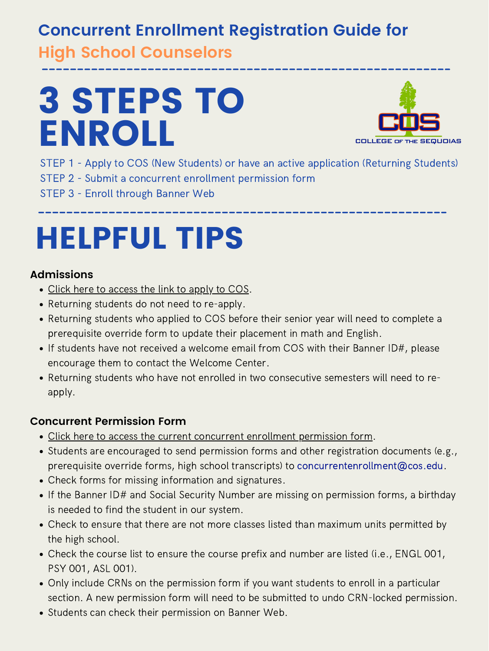- Click here to [access](https://www.opencccapply.net/gateway/apply?cccMisCode=561) the link to apply to COS.
- Returning students do not need to re-apply.
- Returning students who applied to COS before their senior year will need to complete a prerequisite override form to update their placement in math and English.  $\bullet$  If students have not received a welcome email from COS with their Banner ID#, please encourage them to contact the Welcome Center.
- Returning students who have not enrolled in two consecutive semesters will need to reapply.

#### **Admissions**

#### **Concurrent Permission Form**

- Click here to access the current [concurrent](https://www.cos.edu/en-us/Admissions-Aid/Documents/Concurrent%20High%20School%20Student%20Permission%20form.pdf) enrollment permission form.
- Students are encouraged to send permission forms and other registration documents (e.g., prerequisite override forms, high school transcripts) to concurrentenrollment@cos.edu.
- Check forms for missing information and signatures.
- If the Banner ID# and Social Security Number are missing on permission forms, a birthday is needed to find the student in our system.
- Check to ensure that there are not more classes listed than maximum units permitted by the high school.
- Check the course list to ensure the course prefix and number are listed (i.e., ENGL 001, PSY 001, ASL 001).
- Only include CRNs on the permission form if you want students to enroll in a particular section. A new permission form will need to be submitted to undo CRN-locked permission.
- Students can check their permission on Banner Web.

### **Concurrent Enrollment Registration Guide for High School Counselors**

# 3 STEPS TO ENROLL



- STEP 1 Apply to COS (New Students) or have an active application (Returning Students)
- STEP 2 Submit a concurrent enrollment permission form
- STEP 3 Enroll through Banner Web

## HELPFUL TIPS